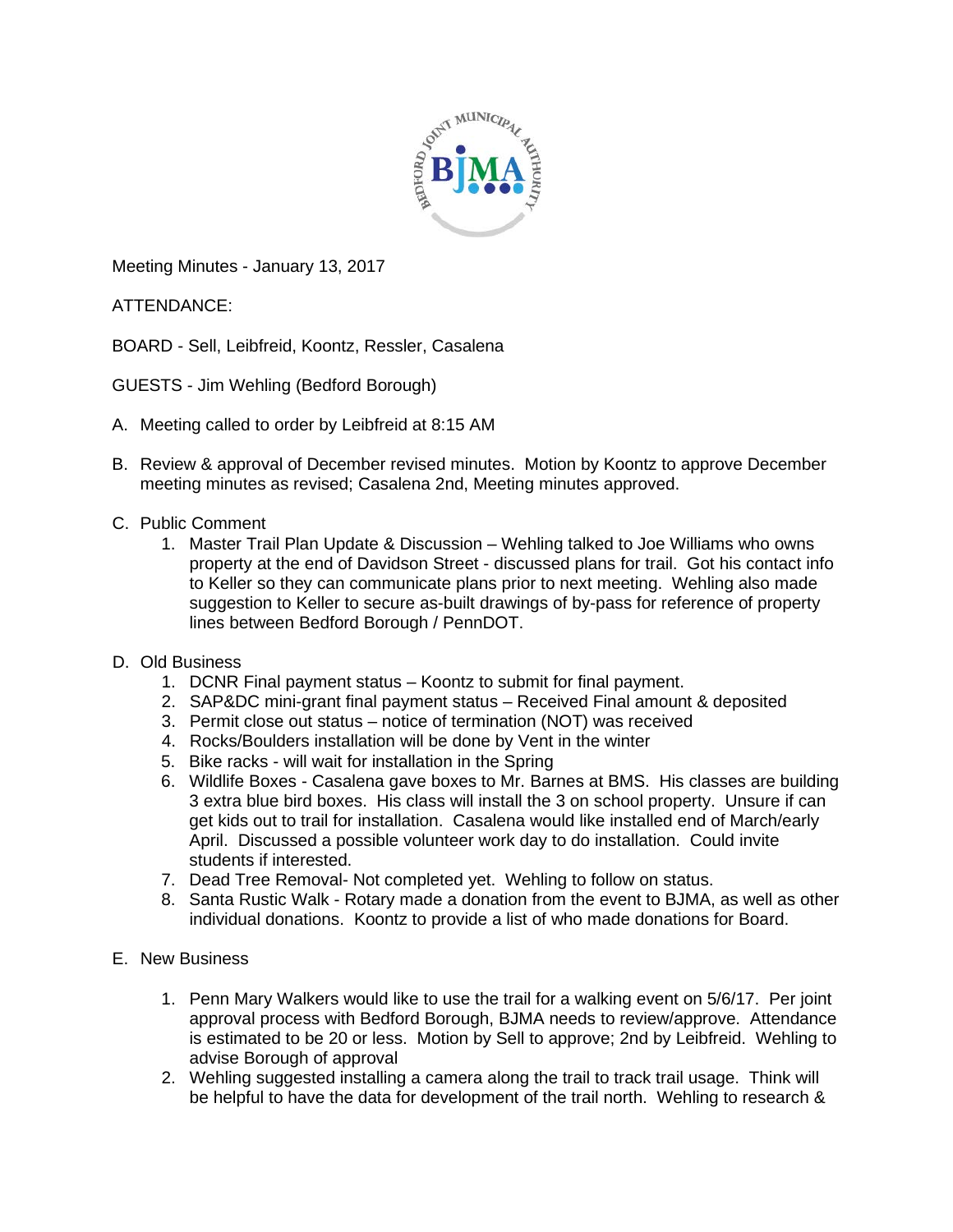

Meeting Minutes - January 13, 2017

ATTENDANCE:

BOARD - Sell, Leibfreid, Koontz, Ressler, Casalena

GUESTS - Jim Wehling (Bedford Borough)

- A. Meeting called to order by Leibfreid at 8:15 AM
- B. Review & approval of December revised minutes. Motion by Koontz to approve December meeting minutes as revised; Casalena 2nd, Meeting minutes approved.
- C. Public Comment
	- 1. Master Trail Plan Update & Discussion Wehling talked to Joe Williams who owns property at the end of Davidson Street - discussed plans for trail. Got his contact info to Keller so they can communicate plans prior to next meeting. Wehling also made suggestion to Keller to secure as-built drawings of by-pass for reference of property lines between Bedford Borough / PennDOT.
- D. Old Business
	- 1. DCNR Final payment status Koontz to submit for final payment.
	- 2. SAP&DC mini-grant final payment status Received Final amount & deposited
	- 3. Permit close out status notice of termination (NOT) was received
	- 4. Rocks/Boulders installation will be done by Vent in the winter
	- 5. Bike racks will wait for installation in the Spring
	- 6. Wildlife Boxes Casalena gave boxes to Mr. Barnes at BMS. His classes are building 3 extra blue bird boxes. His class will install the 3 on school property. Unsure if can get kids out to trail for installation. Casalena would like installed end of March/early April. Discussed a possible volunteer work day to do installation. Could invite students if interested.
	- 7. Dead Tree Removal- Not completed yet. Wehling to follow on status.
	- 8. Santa Rustic Walk Rotary made a donation from the event to BJMA, as well as other individual donations. Koontz to provide a list of who made donations for Board.
- E. New Business
	- 1. Penn Mary Walkers would like to use the trail for a walking event on 5/6/17. Per joint approval process with Bedford Borough, BJMA needs to review/approve. Attendance is estimated to be 20 or less. Motion by Sell to approve; 2nd by Leibfreid. Wehling to advise Borough of approval
	- 2. Wehling suggested installing a camera along the trail to track trail usage. Think will be helpful to have the data for development of the trail north. Wehling to research &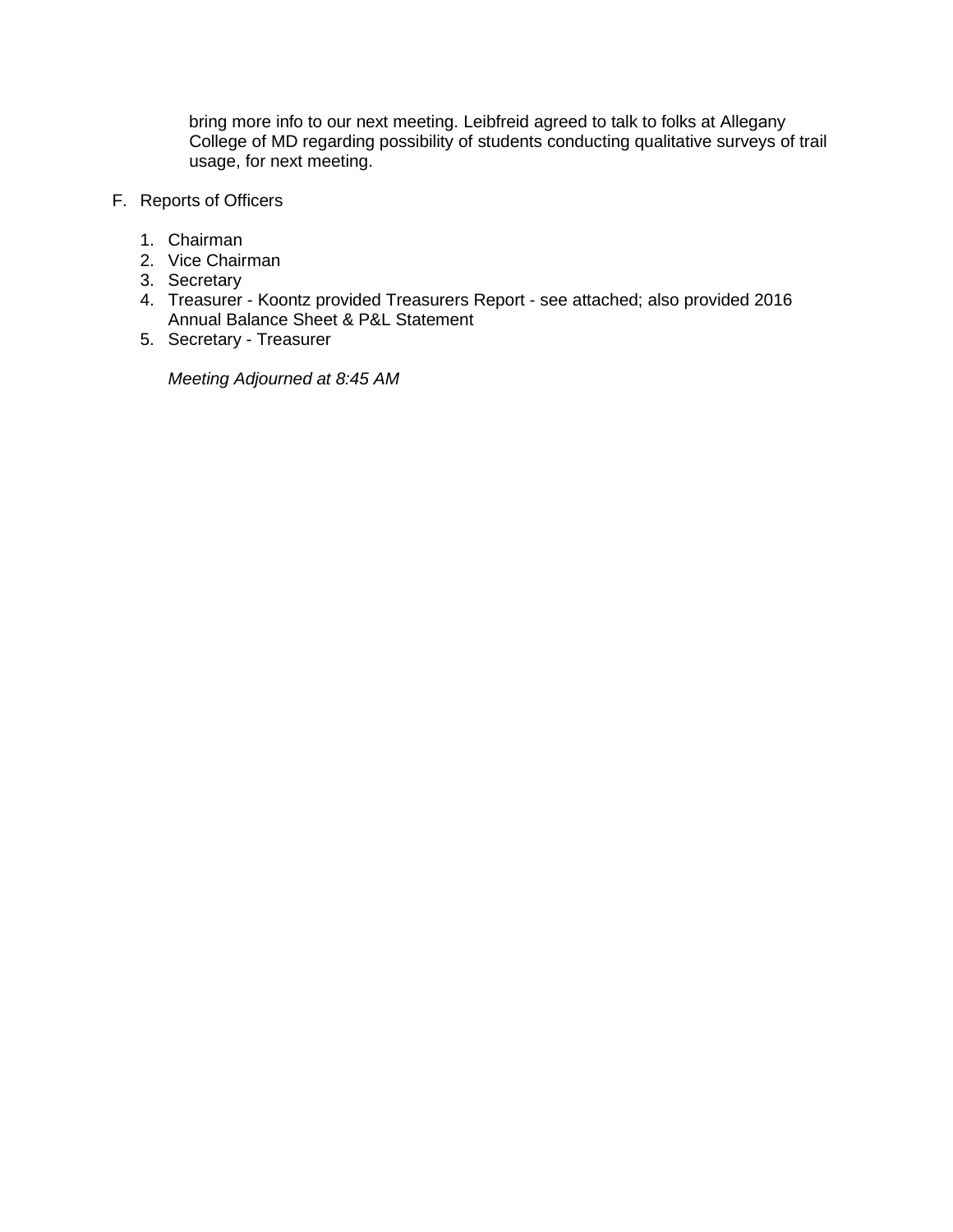bring more info to our next meeting. Leibfreid agreed to talk to folks at Allegany College of MD regarding possibility of students conducting qualitative surveys of trail usage, for next meeting.

- F. Reports of Officers
	- 1. Chairman
	- 2. Vice Chairman
	- 3. Secretary
	- 4. Treasurer Koontz provided Treasurers Report see attached; also provided 2016 Annual Balance Sheet & P&L Statement
	- 5. Secretary Treasurer

*Meeting Adjourned at 8:45 AM*